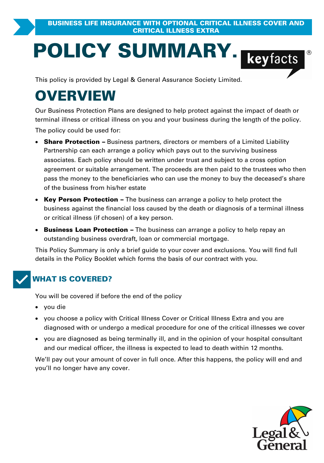# **POLICY SUMMARY.**<br>
This policy is provided by Legal & General Assurance Society Limited.

# **OVERVIEW**

Our Business Protection Plans are designed to help protect against the impact of death or<br>
terminal illness or critical illness on you and your business during the length of the policy.<br> **The policy could be used for:**<br> **S** The policy could be used for:

- The policy could be used for:<br> **Share Protection** Business partners, directors or members of a Limited Liability<br> **Share Protection** Business partners, directors or members of a Limited Liability<br>
Partnership can each • Share Protection - Business partners, directors or members of a Limited Liability Be policy could be used for:<br> **Share Protection** – Business partners, directors or members of a Limited Liability<br>
Partnership can each arrange a policy which pays out to the surviving business<br>
associates. Each policy sho pass the money to the beneficiaries who can use the money to buy the deceased's share of the business from his/her estate
- ·business against the financial loss caused by the death or diagnosis of a terminal illness of the business from his/her estate<br>
• Key Person Protection – The business can are<br>
business against the financial loss caused by the<br>
or critical illness (if chosen) of a key person.<br>
• Business Loan Protection – The bus **Key Person Protection –** The business can arrange a policy to help protect the business against the financial loss caused by the death or diagnosis of a terminal illness or critical illness (if chosen) of a key person.<br>**B**
- outstanding business overdraft, loan or commercial mortgage. or critical illness (if chosen) of a key person.<br>
• Business Loan Protection – The business can arrange a policy to help repay an<br>
outstanding business overdraft, loan or commercial mortgage.<br>
This Policy Summary is only a

details in the Policy Booklet which forms the basis of our contract with you.



### **WHAT IS COVERED?**

You will be covered if before the end of the policy

- · you die
- you choose a policy with Critical Illness Cover or Critical Illness Extra and you are you die<br>you die<br>you choose a policy with Critical Illness Cover or Critical Illness Extra and you are<br>diagnosed with or undergo a medical procedure for one of the critical illnesses we cover ou will be covered if before the end of the policy<br>• you die<br>• you choose a policy with Critical Illness Cover or Critical Illness Extra and you are<br>• diagnosed with or undergo a medical procedure for one of the critical i
- you are diagnosed as being terminally ill, and in the opinion of your hospital consultant and our medical officer, the illness is expected to lead to death within 12 months.

We'll pay out your amount of cover in full once. After this happens, the policy will end and you'll no longer have any cover.

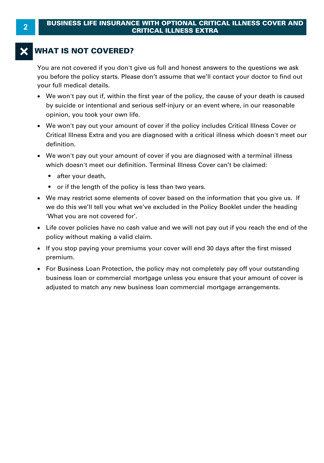### **WHAT IS NOT COVERED?**

You are not covered if you don't give us full and honest answers to the questions we ask you before the policy starts. Please don't assume that we'll contact your doctor to find out your full medical details.

- · We won't pay out if, within the first year of the policy, the cause of your death is caused opinion, you took your own life.
- by suicide or intentional and serious self-injury or an event where, in our reasonable<br>opinion, you took your own life.<br>We won't pay out your amount of cover if the policy includes Critical Illness Cover or<br>Critical Illnes • We won't pay out your amount of cover if the policy includes Critical Illness Cover or Critical Illness Extra and you are diagnosed with a critical illness which doesn't meet our<br>definition.
- We won't pay out your amount of cover if you are diagnosed with a terminal illness which doesn't meet our definition. Terminal Illness Cover can't be claimed:
	- after your death.
	- or if the length of the policy is less than two years.
- · We may restrict some elements of cover based on the information that you give us. If we do this we'll tell you what we've excluded in the Policy Booklet under the heading 'What you are not covered for'. we may restrict some enements of cover<br>
we do this we'll tell you what we've excl<br>
"What you are not covered for".<br>
• Life cover policies have no cash value ar<br>
policy without making a valid claim.<br>
• If you stop paying yo
- · Life cover policies have no cash value and we will not pay out if you reach the end of the
- If you stop paying your premiums your cover will end 30 days after the first missed premium.
- · For Business Loan Protection, the policy may not completely pay off your outstanding business loan or commercial mortgage unless you ensure that your amount of cover is adjusted to match any new business loan commercial mortgage arrangements.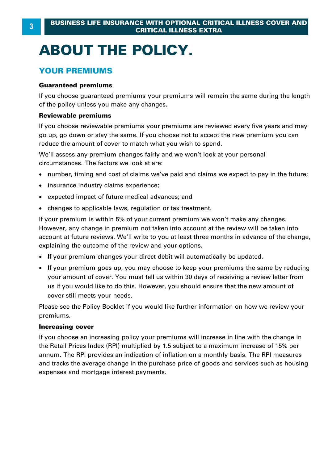# **ABOUT THE POLICY.**

### **YOUR PREMIUMS**

### **Guaranteed premiums**

If you choose guaranteed premiums your premiums will remain the same during the length of the policy unless you make any changes.

### **Reviewable premiums**

If you choose reviewable premiums your premiums are reviewed every five years and may go up, go down or stay the same. If you choose not to accept the new premium you can reduce the amount of cover to match what you wish to spend.

We'll assess any premium changes fairly and we won't look at your personal circumstances. The factors we look at are:

- · number, timing and cost of claims we've paid and claims we expect to pay in the future;
- · insurance industry claims experience;
- · expected impact of future medical advances; and
- · changes to applicable laws, regulation or tax treatment.

If your premium is within 5% of your current premium we won't make any changes. However, any change in premium not taken into account at the review will be taken into account at future reviews. We'll write to you at least three months in advance of the change, explaining the outcome of the review and your options.

- · If your premium changes your direct debit will automatically be updated.
- · If your premium goes up, you may choose to keep your premiums the same by reducing your amount of cover. You must tell us within 30 days of receiving a review letter from<br>If your premium changes your direct debit will automatically be updated.<br>If your premium goes up, you may choose to keep your premiums cover still meets your needs.

Please see the Policy Booklet if you would like further information on how we review your premiums.

#### **Increasing cover**

If you choose an increasing policy your premiums will increase in line with the change in The Retail Prices Index (RPI) multiplied by 1.5 subject to a maximum increase of 15% per<br>the Retail Prices Index (RPI) multiplied by 1.5 subject to a maximum increase of 15% per<br>annum. The RPI provides an indication of inf **Increasing cover**<br>If you choose an increasing policy your premiums will increase in line with the change in<br>the Retail Prices Index (RPI) multiplied by 1.5 subject to a maximum increase of 15% per<br>annum. The RPI provides and tracks the average change in the purchase price of goods and services such as housing expenses and mortgage interest payments.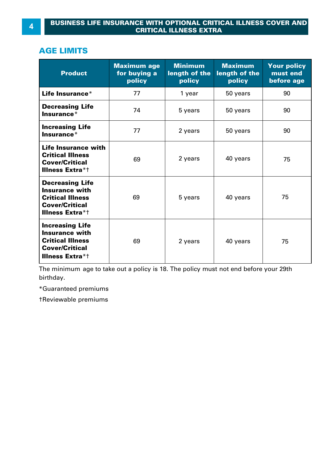### **AGE LIMITS**

| <b>Product</b>                                                                                                                | <b>Maximum age</b><br>for buying a<br>policy | <b>Minimum</b><br>length of the<br>policy | <b>Maximum</b><br>length of the<br>policy | <b>Your policy</b><br>must end<br>before age |
|-------------------------------------------------------------------------------------------------------------------------------|----------------------------------------------|-------------------------------------------|-------------------------------------------|----------------------------------------------|
| Life Insurance*                                                                                                               | 77                                           | 1 year                                    | 50 years                                  | 90                                           |
| <b>Decreasing Life</b><br>$In surface*$                                                                                       | 74                                           | 5 years                                   | 50 years                                  | 90                                           |
| <b>Increasing Life</b><br>$In surface*$                                                                                       | 77                                           | 2 years                                   | 50 years                                  | 90                                           |
| Life Insurance with<br><b>Critical Illness</b><br>Cover/Critical<br><b>Illness Extra*t</b>                                    | 69                                           | 2 years                                   | 40 years                                  | 75                                           |
| <b>Decreasing Life</b><br><b>Insurance with</b><br><b>Critical Illness</b><br><b>Cover/Critical</b><br><b>Illness Extra*t</b> | 69                                           | 5 years                                   | 40 years                                  | 75                                           |
| <b>Increasing Life</b><br><b>Insurance with</b><br><b>Critical Illness</b><br><b>Cover/Critical</b><br><b>Illness Extra*t</b> | 69                                           | 2 years                                   | 40 years                                  | 75                                           |

The minimum age to take out a policy is 18. The policy must not end before your 29th birthday.

\*Guaranteed premiums

†Reviewable premiums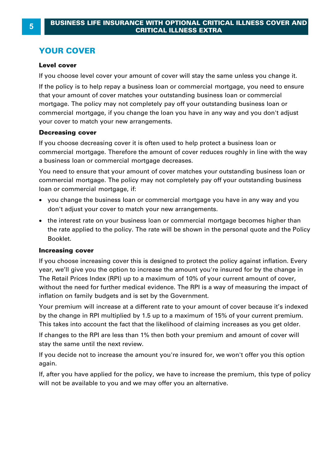### **YOUR COVER**

### **Level cover**

If you choose level cover your amount of cover will stay the same unless you change it.

If the policy is to help repay a business loan or commercial mortgage, you need to ensure that your amount of cover matches your outstanding business loan or commercial mortgage. The policy may not completely pay off your outstanding business loan or From the policy may not completely pay on your outstanding basiness ion of<br>commercial mortgage, if you change the loan you have in any way and you don't adjust<br>your cover to match your new arrangements.<br>If you choose decre your cover to match your new arrangements.

### **Decreasing cover**

commercial mortgage. Therefore the amount of cover reduces roughly in line with the way If you choose decreasing cover it is often used to help protect a business loan or<br>commercial mortgage. Therefore the amount of cover reduces roughly in line wit<br>a business loan or commercial mortgage decreases.

You need to ensure that your amount of cover matches your outstanding business loan or commercial mortgage. The policy may not completely pay off your outstanding business loan or commercial mortgage, if:

- · you change the business loan or commercial mortgage you have in any way and you don't adjust your cover to match your new arrangements.
- · the interest rate on your business loan or commercial mortgage becomes higher than the rate applied to the policy. The rate will be shown in the personal quote and the Policy Booklet.

### **Increasing cover**

If you choose increasing cover this is designed to protect the policy against inflation. Every year, we'll give you the option to increase the amount you're insured for by the change in **Increasing cover**<br>If you choose increasing cover this is designed to protect the policy against inflation. Every<br>year, we'll give you the option to increase the amount you're insured for by the change in<br>The Retail Prices **Increasing cover**<br>If you choose increasing cover this is designed to protect the policy against inflation. Every<br>year, we'll give you the option to increase the amount you're insured for by the change in<br>The Retail Prices inflation on family budgets and is set by the Government. year, we'll give you the option to increase the amount you're insured for by the change in<br>The Retail Prices Index (RPI) up to a maximum of 10% of your current amount of cover,<br>without the need for further medical evidence

The Retail Prices Index (RPI) up to a maximum of 10% of your current amount of cover,<br>without the need for further medical evidence. The RPI is a way of measuring the impact of<br>inflation on family budgets and is set by the This takes into account the fact that the likelihood of claiming increases as you get older.

If changes to the RPI are less than 1% then both your premium and amount of cover will stay the same until the next review.

If you decide not to increase the amount you're insured for, we won't offer you this option again.

If, after you have applied for the policy, we have to increase the premium, this type of policy will not be available to you and we may offer you an alternative.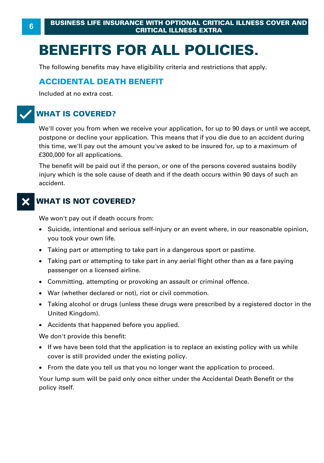# **BENEFITS FOR ALL POLICIES.**

The following benefits may have eligibility criteria and restrictions that apply.

### **ACCIDENTAL DEATH BENEFIT**

Included at no extra cost.

### **WHAT IS COVERED?**

We'll cover you from when we receive your application, for up to 90 days or until we accept, postpone or decline your application. This means that if you die due to an accident during WHAT IS COVERED?<br>We'll cover you from when we receive your application, for up to 90 days or until we accept,<br>postpone or decline your application. This means that if you die due to an accident during<br>this time, we'll pay £300,000 for all applications.

The benefit will be paid out if the person, or one of the persons covered sustains bodily injury which is the sole cause of death and if the death occurs within 90 days of such an accident.

### **WHAT IS NOT COVERED?**

We won't pay out if death occurs from:

- · Suicide, intentional and serious self-injury or an event where, in our reasonable opinion, you took your own life. We won't pay out if death occurs from:<br>• Suicide, intentional and serious self-injury or an event where, in our reasor<br>you took your own life.<br>• Taking part or attempting to take part in a dangerous sport or pastime.<br>• Tak Suicide, intentional and serious self-injury or an event where, in our reasonable opinion,<br>you took your own life.<br>Taking part or attempting to take part in a dangerous sport or pastime.<br>Taking part or attempting to take p
- ·
- you took your own life.<br>• Taking part or attempting to take pa<br>• Taking part or attempting to take pa<br>• passenger on a licensed airline.<br>• Committine. attempting or provoking
- Committing, attempting or provoking an assault or criminal offence.
- · War (whether declared or not), riot or civil commotion.
- ·passenger on a licensed airline.<br>Committing, attempting or provoking an assault or criminal offence.<br>War (whether declared or not), riot or civil commotion.<br>Taking alcohol or drugs (unless these drugs were prescribed by a United Kingdom).
- · Accidents that happened before you applied.

We don't provide this benefit:

- · If we have been told that the application is to replace an existing policy with us while cover is still provided under the existing policy.
- · From the date you tell us that you no longer want the application to proceed.

Your lump sum will be paid only once either under the Accidental Death Benefit or the policy itself.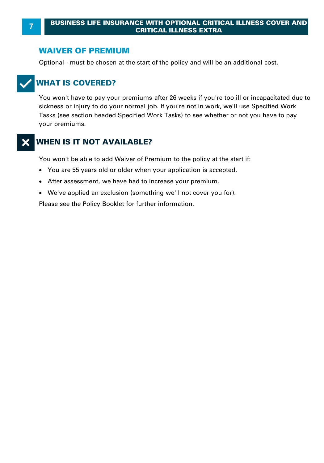### **WAIVER OF PREMIUM**

Optional - must be chosen at the start of the policy and will be an additional cost.

### T**WHAT IS COVERED?**

You won't have to pay your premiums after 26 weeks if you're too ill or incapacitated due to sickness or injury to do your normal job. If you're not in work, we'll use Specified Work Tasks (see section headed Specified Work Tasks) to see whether or not you have to pay your premiums.

### X**WHEN IS IT NOT AVAILABLE?**

You won't be able to add Waiver of Premium to the policy at the start if:

- · You are 55 years old or older when your application is accepted.
- · After assessment, we have had to increase your premium.
- · We've applied an exclusion (something we'll not cover you for).

Please see the Policy Booklet for further information.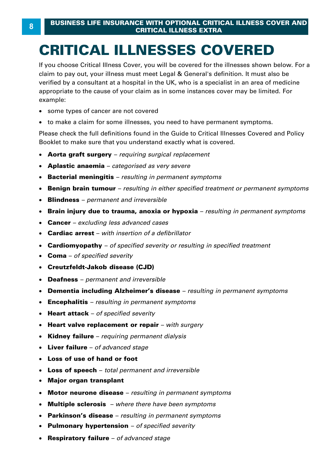# **CRITICAL ILLNESSES COVERED**

If you choose Critical Illness Cover, you will be covered for the illnesses shown below. For a **CRITICAL ILLNESSES COVERED**<br>If you choose Critical Illness Cover, you will be covered for the illnesses shown below. For<br>claim to pay out, your illness must meet Legal & General's definition. It must also be<br>verified by a **CRITICAL ILLNESSES COVERED**<br>If you choose Critical Illness Cover, you will be covered for the illnesses shown below. For a<br>claim to pay out, your illness must meet Legal & General's definition. It must also be<br>verified by Formal by a consultant at a hoopital in the City who is a opposition in an area of meansing<br>appropriate to the cause of your claim as in some instances cover may be limited. For<br>• some types of cancer are not covered<br>• to example:

- · some types of cancer are not covered
- to make a claim for some illnesses, you need to have permanent symptoms.

Please check the full definitions found in the Guide to Critical Illnesses Covered and Policy Booklet to make sure that you understand exactly what is covered.

- · **Aorta graft surgery**  *requiring surgical replacement*
- · **Aplastic anaemia**  *categorised as very severe*
- · **Bacterial meningitis**  *resulting in permanent symptoms*
- · **Benign brain tumour**  *resulting in either specified treatment or permanent symptoms*
- · **Blindness**  *permanent and irreversible*
- · **Brain injury due to trauma, anoxia or hypoxia**  *resulting in permanent symptoms*
- · **Cancer**  *excluding less advanced cases*
- · **Cardiac arrest**  *with insertion of a defibrillator*
- · **Cardiomyopathy**  *of specified severity or resulting in specified treatment*
- · **Coma**  *of specified severity*
- · **Creutzfeldt-Jakob disease (CJD)**
- · **Deafness**  *permanent and irreversible*
- · **Dementia including Alzheimer's disease**  *resulting in permanent symptoms*
- · **Encephalitis**  *resulting in permanent symptoms*
- · **Heart attack**  *of specified severity*
- · **Heart valve replacement or repair**  *with surgery*
- · **Kidney failure**  *requiring permanent dialysis*
- · **Liver failure**  *of advanced stage*
- · **Loss of use of hand or foot**
- · **Loss of speech**  *total permanent and irreversible*
- · **Major organ transplant**
- · **Motor neurone disease**  *resulting in permanent symptoms*
- · **Multiple sclerosis**  *where there have been symptoms*
- · **Parkinson's disease**  *resulting in permanent symptoms*
- · **Pulmonary hypertension**  *of specified severity*
- · **Respiratory failure**  *of advanced stage*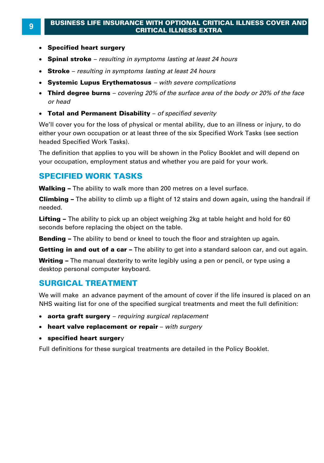### **<sup>9</sup> BUSINESS LIFE INSURANCE WITH OPTIONAL CRITICAL ILLNESS COVER AND CRITICAL ILLNESS EXTRA**

- · **Specified heart surgery**
- · **Spinal stroke**  *resulting in symptoms lasting at least 24 hours*
- · **Stroke**  *resulting in symptoms lasting at least 24 hours*
- · **Systemic Lupus Erythematosus**  *with severe complications*
- · **Third degree burns**  *covering 20% of the surface area of the body or 20% of the face*
- · **Total and Permanent Disability**  *of specified severity*

We'll cover you for the loss of physical or mental ability, due to an illness or injury, to do either your own occupation or at least three of the six Specified Work Tasks (see section headed Specified Work Tasks).

The definition that applies to you will be shown in the Policy Booklet and will depend on your occupation, employment status and whether you are paid for your work. The definition that applies to you will be shown in the Policy Booklet and wi<br>your occupation, employment status and whether you are paid for your wor<br>**SPECIFIED WORK TASKS**<br>Walking – The ability to walk more than 200 metr

### **SPECIFIED WORK TASKS**

**Walking –** The ability to walk more than 200 metres on a level surface.<br>**Climbing –** The ability to climb up a flight of 12 stairs and down again, using the handrail if needed.

**Lifting –** The ability to pick up an object weighing 2kg at table height and hold for 60 seconds before replacing the object on the table. **Lifting –** The ability to pick up an object weighing 2kg at table height and hold for 60<br>seconds before replacing the object on the table.<br>**Bending –** The ability to bend or kneel to touch the floor and straighten up agai

**Bending –** The ability to bend or kneel to touch the floor and straighten up again.

**Bending –** The ability to bend or kneel to touch the floor and straighten up again.<br>**Bending –** The ability to bend or kneel to touch the floor and straighten up again.<br>**Getting in and out of a car** – The ability to get i desktop personal computer keyboard.

### **SURGICAL TREATMENT**

We will make an advance payment of the amount of cover if the life insured is placed on an NHS waiting list for one of the specified surgical treatments and meet the full definition:

- · **aorta graft surgery**  *requiring surgical replacement*
- · **heart valve replacement or repair**  *with surgery*
- · **specified heart surger** y

Full definitions for these surgical treatments are detailed in the Policy Booklet.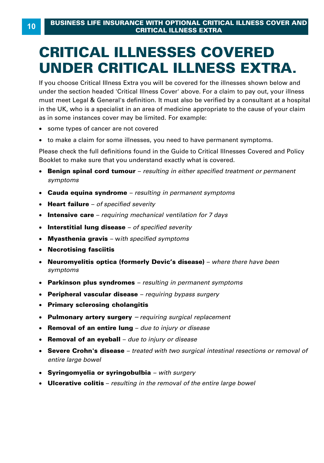## **CRITICAL ILLNESSES COVERED UNDER CRITICAL ILLNESS EXTRA.**

If you choose Critical Illness Extra you will be covered for the illnesses shown below and UNDER CRITICAL ILLINESS EXTRA.<br>If you choose Critical Illness Extra you will be covered for the illnesses shown below and<br>under the section headed 'Critical Illness Cover' above. For a claim to pay out, your illness<br>must m UNDER CRITICAL ILLNESS EXTRA.<br>If you choose Critical Illness Extra you will be covered for the illnesses shown below and<br>under the section headed 'Critical Illness Cover' above. For a claim to pay out, your illness<br>must me under the section headed 'Critical Illness Cover' above. For a claim to pay out, your illness<br>must meet Legal & General's definition. It must also be verified by a consultant at a hospital<br>in the UK, who is a specialist in as in some instances cover may be limited. For example: to modellegal at demonstrate deminism is maked and to be vermically at demonstrated the UK, who is a specialist in an area of medicine appropriate to the cause of you<br>in some instances cover may be limited. For example:<br>so

- · some types of cancer are not covered
- ·

Please check the full definitions found in the Guide to Critical Illnesses Covered and Policy Booklet to make sure that you understand exactly what is covered.

- · **Benign spinal cord tumour**  *resulting in either specified treatment or permanent symptoms*
- · **Cauda equina syndrome**  *resulting in permanent symptoms*
- · **Heart failure**  *of specified severity*
- · **Intensive care**  *requiring mechanical ventilation for 7 days*
- · **Interstitial lung disease**  *of specified severity*
- · **Myasthenia gravis**  w*ith specified symptoms*
- · **Necrotising fasciitis**
- · **Neuromyelitis optica (formerly Devic's disease)**  *where there have been symptoms*
- · **Parkinson plus syndromes**  *resulting in permanent symptoms*
- · **Peripheral vascular disease**  *requiring bypass surgery*
- · **Primary sclerosing cholangitis**
- · **Pulmonary artery surgery** *– requiring surgical replacement*
- · **Removal of an entire lung**  *due to injury or disease*
- · **Removal of an eyeball**  *due to injury or disease*
- · **Severe Crohn's disease**  *treated with two surgical intestinal resections or removal of entire large bowel*
- · **Syringomyelia or syringobulbia**  *with surgery*
- · **Ulcerative colitis**  *resulting in the removal of the entire large bowel*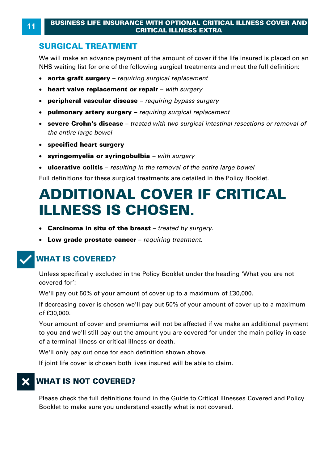### **<sup>11</sup>BUSINESS LIFE INSURANCE WITH OPTIONAL CRITICAL ILLNESS COVER AND CRITICAL ILLNESS EXTRA**

### **SURGICAL TREATMENT**

We will make an advance payment of the amount of cover if the life insured is placed on an NHS waiting list for one of the following surgical treatments and meet the full definition:

- · **aorta graft surgery**  *requiring surgical replacement*
- · **heart valve replacement or repair**  *with surgery*
- · **peripheral vascular disease**  *requiring bypass surgery*
- · **pulmonary artery surgery**  *requiring surgical replacement*
- · **severe Crohn's disease**  *treated with two surgical intestinal resections or removal of the entire large bowel*
- · **specified heart surgery**
- · **syringomyelia or syringobulbia**  *with surgery*
- · **ulcerative colitis**  *resulting in the removal of the entire large bowel*

Full definitions for these surgical treatments are detailed in the Policy Booklet.

### **ADDITIONAL COVER IF CRITICAL ILLNESS IS CHOSEN.**

- · **Carcinoma in situ of the breast**  *treated by surgery.*
- · **Low grade prostate cancer**  *requiring treatment.*

### **WHAT IS COVERED?**

Unless specifically excluded in the Policy Booklet under the heading 'What you are not covered for': **WHAT IS COVERED?**<br>Unless specifically excluded in the Policy Booklet under the heading 'What yo<br>covered for':<br>We'll pay out 50% of your amount of cover up to a maximum of £30,000.<br>If decreasing cover is chosen we'll pay o

We'll pay out 50% of your amount of cover up to a maximum of £30,000.<br>If decreasing cover is chosen we'll pay out 50% of your amount of cover up to a maximum of £30,000 .

Your amount of cover and premiums will not be affected if we make an additional payment to you and we'll still pay out the amount you are covered for under the main policy in case of a terminal illness or critical illness or death .

We'll only pay out once for each definition shown above.

If joint life cover is chosen both lives insured will be able to claim.

### **WHAT IS NOT COVERED?**

Please check the full definitions found in the Guide to Critical Illnesses Covered and Policy Booklet to make sure you understand exactly what is not covered.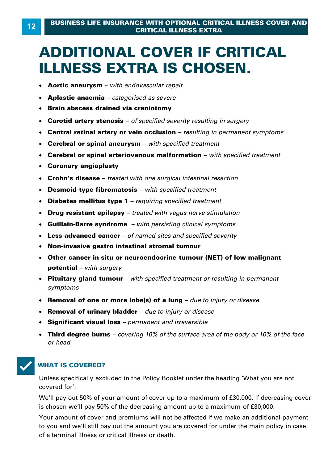### **ADDITIONAL COVER IF CRITICAL ILLNESS EXTRA IS CHOSEN.**

- · **Aortic aneurysm**  *with endovascular repair*
- · **Aplastic anaemia**  *categorised as severe*
- · **Brain abscess drained via craniotomy**
- · **Carotid artery stenosis**  *of specified severity resulting in surgery*
- · **Central retinal artery or vein occlusion**  *resulting in permanent symptoms*
- · **Cerebral or spinal aneurysm**  *with specified treatment*
- · **Cerebral or spinal arteriovenous malformation**  *with specified treatment*
- · **Coronary angioplasty**
- · **Crohn's disease**  *treated with one surgical intestinal resection*
- · **Desmoid type fibromatosis**  *with specified treatment*
- · **Diabetes mellitus type 1**  *requiring specified treatment*
- · **Drug resistant epilepsy**  *treated with vagus nerve stimulation*
- · **Guillain-Barre syndrome**  *with persisting clinical symptoms*
- · **Less advanced cancer**  *of named sites and specified severity*
- · **Non-invasive gastro intestinal stromal tumour**
- · **Other cancer in situ or neuroendocrine tumour (NET) of low malignant potential** – *with surgery*
- · **Pituitary gland tumour**  *with specified treatment or resulting in permanent symptoms* **potential –** with surgery<br>**Pituitary gland tumour –** with specified treatment or resulting in permanent<br>symptoms<br>Removal of one or more lobe(s) of a lung – due to injury or disease<br>Removal of urinary bladder – due to inju
- Removal of one or more lobe(s) of a lung due to injury or disease
- · **Removal of urinary bladder**  *due to injury or disease*
- · **Significant visual loss**  *permanent and irreversible*
- · **Third degree burns**  *covering 10% of the surface area of the body or 10% of the face*



### **WHAT IS COVERED?**

Unless specifically excluded in the Policy Booklet under the heading 'What you are not covered for':

WHAT IS COVERED?<br>Unless specifically excluded in the Policy Booklet under the heading 'What you are not<br>covered for':<br>We'll pay out 50% of your amount of cover up to a maximum of £30,000. If decreasing cover<br>is chosen we'l Unless specifically excluded in the Policy Booklet under the heading 'What you are no<br>covered for':<br>We'll pay out 50% of your amount of cover up to a maximum of £30,000. If decreasin<br>is chosen we'll pay 50% of the decreasi

Your amount of cover and premiums will not be affected if we make an additional payment to you and we'll still pay out the amount you are covered for under the main policy in case of a terminal illness or critical illness or death .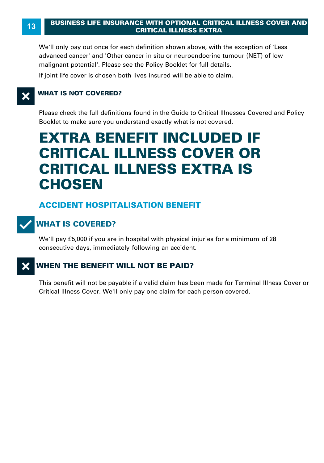We'll only pay out once for each definition shown above, with the exception of 'Less advanced cancer' and 'Other cancer in situ or neuroendocrine tumour (NET) of low malignant potential'. Please see the Policy Booklet for full details.

If joint life cover is chosen both lives insured will be able to claim.

### **X** WHAT IS NOT COVERED?

Please check the full definitions found in the Guide to Critical Illnesses Covered and Policy Booklet to make sure you understand exactly what is not covered.

### **EXTRA BENEFIT INCLUDED IF CRITICAL ILLNESS COVER OR CRITICAL ILLNESS EXTRA IS CHOSEN**

### **ACCIDENT HOSPITALISATION BENEFIT**



### **WHAT IS COVERED?**

We'll pay £5,000 if you are in hospital with physical injuries for a minimum of 28 consecutive days, immediately following an accident.

### **X** WHEN THE BENEFIT WILL NOT BE PAID?

This benefit will not be payable if a valid claim has been made for Terminal Illness Cover or Critical Illness Cover. We'll only pay one claim for each person covered.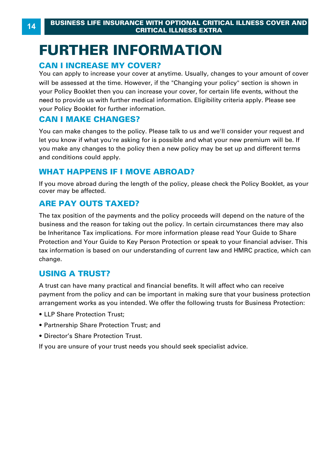# **FURTHER INFORMATION EURTHER INFORMATE SERVICAL ILLN<br>
CRITICAL ILLN<br>
CAN I INCREASE MY COVER?**<br>
You can apply to increase your cover at anytime.

You can apply to increase your cover at a<br>will be assessed at the time. However, if t<br>your Policy Booklet then you can increase<br>need to provide us with further medical in<br>your Policy Booklet for further information<br>**CAN I** You can apply to increase your cover at anytime. Usually, changes to your amount of cover will be assessed at the time. However, if the "Changing your policy" section is shown in your Policy Booklet then you can increase your cover, for certain life events, without the need to provide us with further medical information. Eligibility criteria apply. Please see your Policy Booklet for further information.

You can make changes to the policy. Please talk to us and we'll consider your request and let you know if what you're asking for is possible and what your new premium will be. If you make any changes to the policy then a new policy may be set up and different terms and conditions could apply. You can make changes to the policy. Please talk to us and w<br>let you know if what you're asking for is possible and what y<br>you make any changes to the policy then a new policy may<br>and conditions could apply.<br>**WHAT HAPPENS I** 

If you move abroad during the length of the policy, please check the Policy Booklet, as your cover may be affected.

### **ARE PAY OUTS TAXED?**

The tax position of the payments and the policy proceeds will depend on the nature of the business and the reason for taking out the policy. In certain circumstances there may also be Inheritance Tax implications. For more information please read Your Guide to Share Protection and Your Guide to Key Person Protection or speak to your financial adviser. This tax information is based on our understanding of current law and HMRC practice, which can change. **Example 2** and the ideom of take<br>be Inheritance Tax implications.<br>Protection and Your Guide to K<br>tax information is based on our<br>change.<br>**USING A TRUST?** 

tax information is based on our understanding of current law and HMRC practice, which can<br>change.<br>**USING A TRUST?**<br>A trust can have many practical and financial benefits. It will affect who can receive<br>payment from the pol **A** trust can have many practical and financial benefits. It will affect who can receive<br>payment from the policy and can be important in making sure that your business protection<br>arrangement works as you intended. We offer **e** Francement works as you intended. We offer the following trusts for Business Protection:<br>• LLP Share Protection Trust;<br>• Partnership Share Protection Trust; and<br>• Director's Share Protection Trust.

- 
- 
- 

If you are unsure of your trust needs you should seek specialist advice.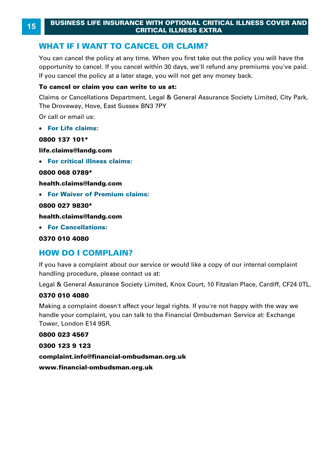You can cancel the policy at any time. When you first take out the policy you will have the opportunity to cancel. If you cancel within 30 days, we'll refund any premiums you've paid. **WHAT IF I WANT TO CANCEL OR CLAIM?**<br>You can cancel the policy at any time. When you first take out the policy you opportunity to cancel. If you cancel within 30 days, we'll refund any premium<br>If you cancel the policy at a

### **To cancel or claim you can write to us at:**

If you cancel the policy at a later stage, you will not get any money back.<br>**To cancel or claim you can write to us at:**<br>Claims or Cancellations Department, Legal & General Assurance Society Limited, City Park, The Droveway, Hove, East Sussex BN3 7PY

Or call or email us:

· **For Life claims:**

### **0800 137 101\***

**life.claims@landg.com** 

· **For critical illness claims:**

**0800 068 0789\*** 

**health.claims@landg.com** 

· **For Waiver of Premium claims:**

**0800 027 9830\*** 

**health.claims@landg.com** 

· **For Cancellations:**

**0370 010 4080** 

**bealth.claims@landg.com<br>• For Cancellations:<br>0370 010 4080<br><b>HOW DO I COMPLAIN?**<br>If you have a complaint about our servi **HOW DO I COMPLAIN?**<br>If you have a complaint about our service or would like a copy of our internal complaint handling procedure, please contact us at:

Legal & General Assurance Society Limited, Knox Court, 10 Fitzalan Place, Cardiff, CF24 0TL.

### **0370 010 4080**

handling procedure, please contact us at:<br>Legal & General Assurance Society Limited, Knox Court, 10 Fitzalan Place, Cardiff, CF24 0TL.<br>**0370 010 4080**<br>Making a complaint doesn't affect your legal rights. If you're not happ Tower, London E14 9SR.

**0800 023 4567** 

**complaint.info@financial-ombudsman.org.uk** 

**www.financial-ombudsman.org.uk**